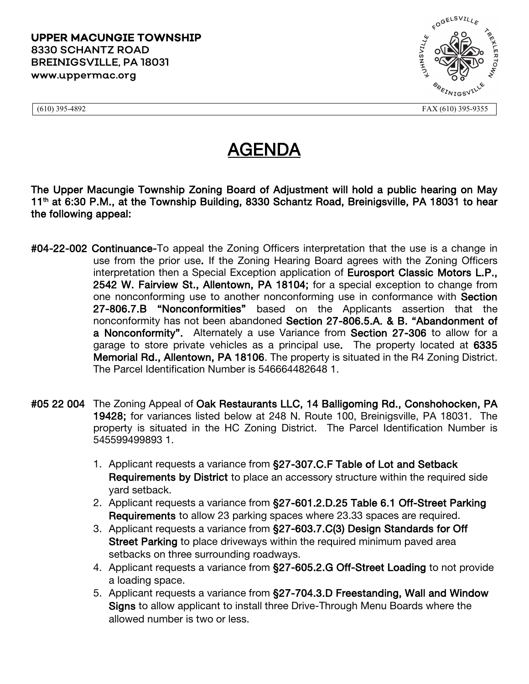

(610) 395-4892 FAX (610) 395-9355

## AGENDA

The Upper Macungie Township Zoning Board of Adjustment will hold a public hearing on May 11<sup>th</sup> at 6:30 P.M., at the Township Building, 8330 Schantz Road, Breinigsville, PA 18031 to hear the following appeal:

- #04-22-002 Continuance-To appeal the Zoning Officers interpretation that the use is a change in use from the prior use. If the Zoning Hearing Board agrees with the Zoning Officers interpretation then a Special Exception application of Eurosport Classic Motors L.P., 2542 W. Fairview St., Allentown, PA 18104; for a special exception to change from one nonconforming use to another nonconforming use in conformance with Section 27-806.7.B "Nonconformities" based on the Applicants assertion that the nonconformity has not been abandoned Section 27-806.5.A. & B. "Abandonment of a Nonconformity". Alternately a use Variance from Section 27-306 to allow for a garage to store private vehicles as a principal use. The property located at 6335 Memorial Rd., Allentown, PA 18106. The property is situated in the R4 Zoning District. The Parcel Identification Number is 546664482648 1.
- #05 22 004 The Zoning Appeal of Oak Restaurants LLC, 14 Balligoming Rd., Conshohocken, PA 19428; for variances listed below at 248 N. Route 100, Breinigsville, PA 18031. The property is situated in the HC Zoning District. The Parcel Identification Number is 545599499893 1.
	- 1. Applicant requests a variance from §27-307.C.F Table of Lot and Setback Requirements by District to place an accessory structure within the required side yard setback.
	- 2. Applicant requests a variance from §27-601.2.D.25 Table 6.1 Off-Street Parking Requirements to allow 23 parking spaces where 23.33 spaces are required.
	- 3. Applicant requests a variance from §27-603.7.C(3) Design Standards for Off Street Parking to place driveways within the required minimum paved area setbacks on three surrounding roadways.
	- 4. Applicant requests a variance from §27-605.2.G Off-Street Loading to not provide a loading space.
	- 5. Applicant requests a variance from §27-704.3.D Freestanding, Wall and Window Signs to allow applicant to install three Drive-Through Menu Boards where the allowed number is two or less.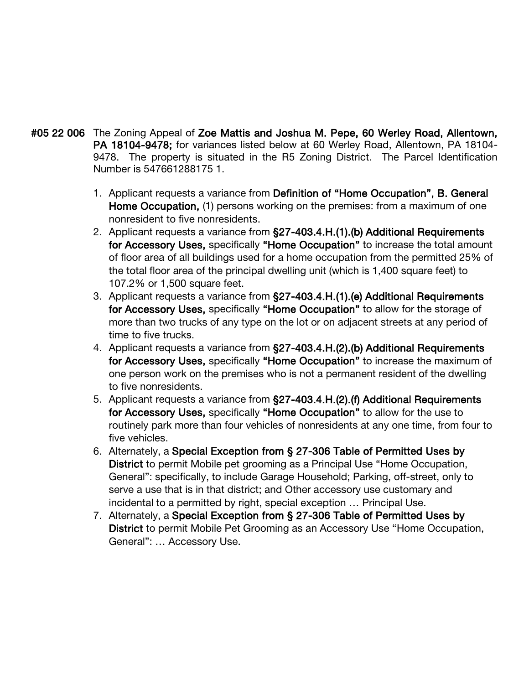- #05 22 006 The Zoning Appeal of Zoe Mattis and Joshua M. Pepe, 60 Werley Road, Allentown, PA 18104-9478; for variances listed below at 60 Werley Road, Allentown, PA 18104- 9478. The property is situated in the R5 Zoning District. The Parcel Identification Number is 547661288175 1.
	- 1. Applicant requests a variance from Definition of "Home Occupation", B. General Home Occupation, (1) persons working on the premises: from a maximum of one nonresident to five nonresidents.
	- 2. Applicant requests a variance from §27-403.4.H.(1).(b) Additional Requirements for Accessory Uses, specifically "Home Occupation" to increase the total amount of floor area of all buildings used for a home occupation from the permitted 25% of the total floor area of the principal dwelling unit (which is 1,400 square feet) to 107.2% or 1,500 square feet.
	- 3. Applicant requests a variance from §27-403.4.H.(1).(e) Additional Requirements for Accessory Uses, specifically "Home Occupation" to allow for the storage of more than two trucks of any type on the lot or on adjacent streets at any period of time to five trucks.
	- 4. Applicant requests a variance from §27-403.4.H.(2).(b) Additional Requirements for Accessory Uses, specifically "Home Occupation" to increase the maximum of one person work on the premises who is not a permanent resident of the dwelling to five nonresidents.
	- 5. Applicant requests a variance from §27-403.4.H.(2).(f) Additional Requirements for Accessory Uses, specifically "Home Occupation" to allow for the use to routinely park more than four vehicles of nonresidents at any one time, from four to five vehicles.
	- 6. Alternately, a Special Exception from § 27-306 Table of Permitted Uses by District to permit Mobile pet grooming as a Principal Use "Home Occupation, General": specifically, to include Garage Household; Parking, off-street, only to serve a use that is in that district; and Other accessory use customary and incidental to a permitted by right, special exception … Principal Use.
	- 7. Alternately, a Special Exception from § 27-306 Table of Permitted Uses by District to permit Mobile Pet Grooming as an Accessory Use "Home Occupation, General": … Accessory Use.